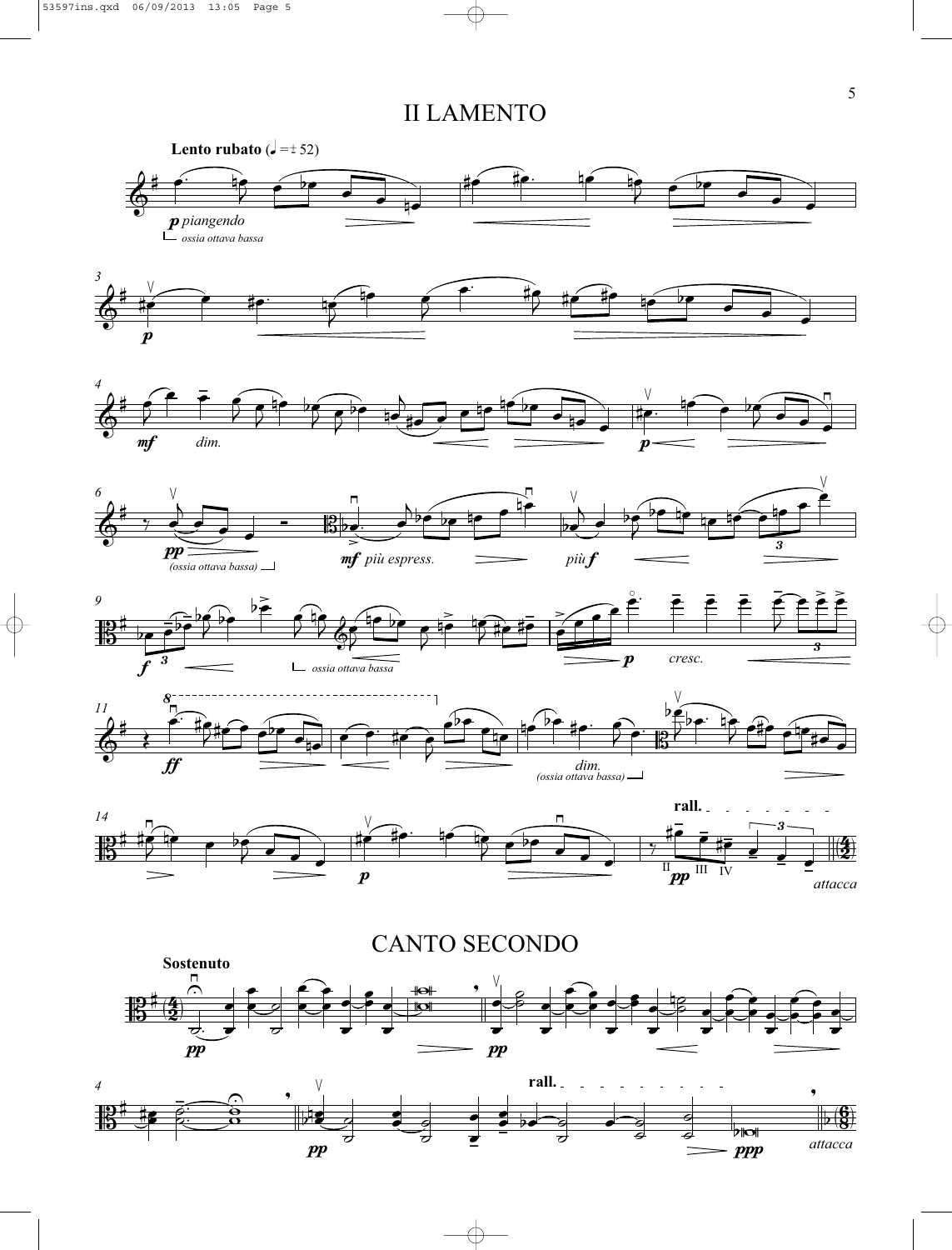## II LAMENTO

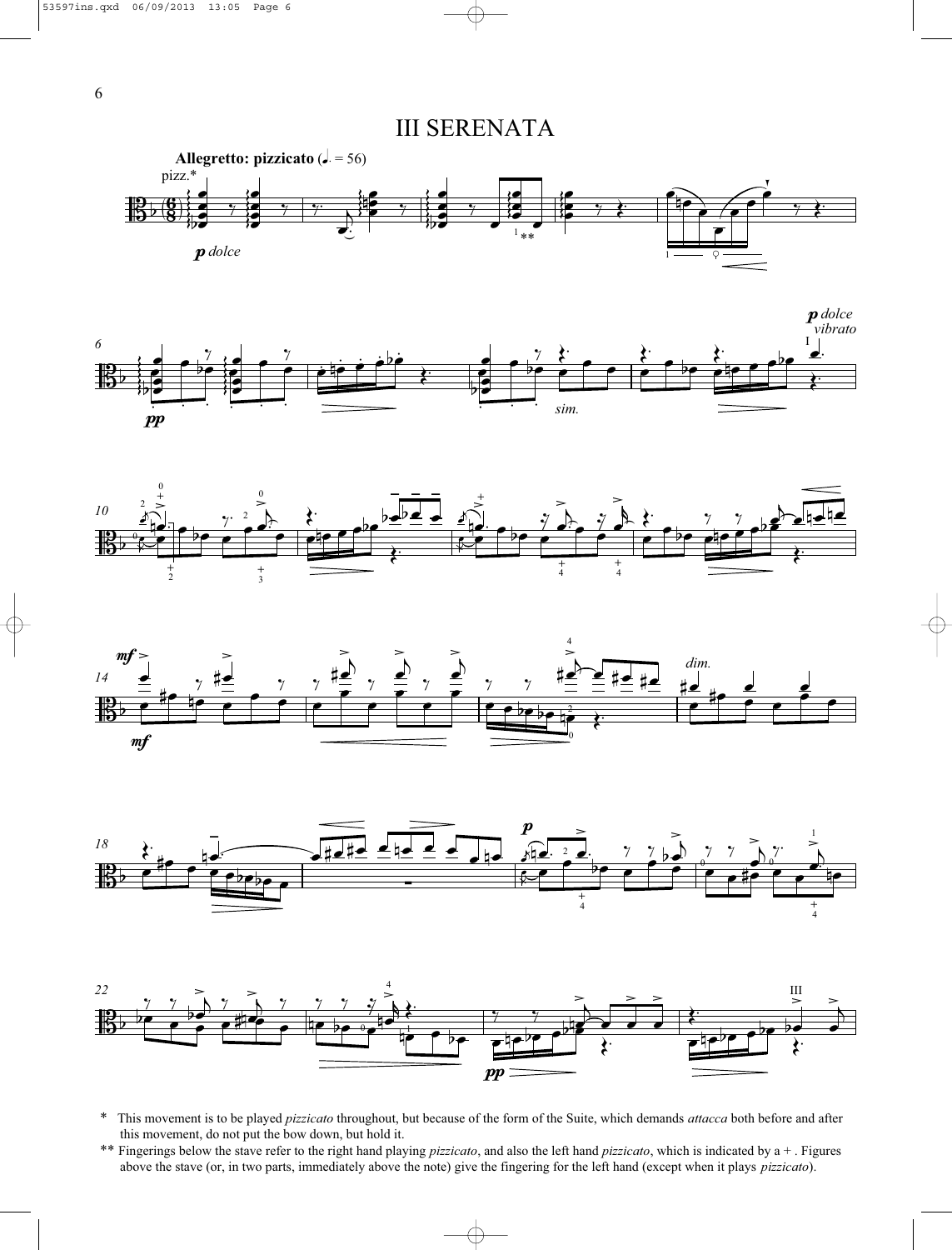III SERENATA













- \* This movement is to be played *pizzicato* throughout, but because of the form of the Suite, which demands *attacca* both before and after this movement, do not put the bow down, but hold it.
- \*\* Fingerings below the stave refer to the right hand playing *pizzicato*, and also the left hand *pizzicato*, which is indicated by a + . Figures above the stave (or, in two parts, immediately above the note) give the fingering for the left hand (except when it plays *pizzicato*).